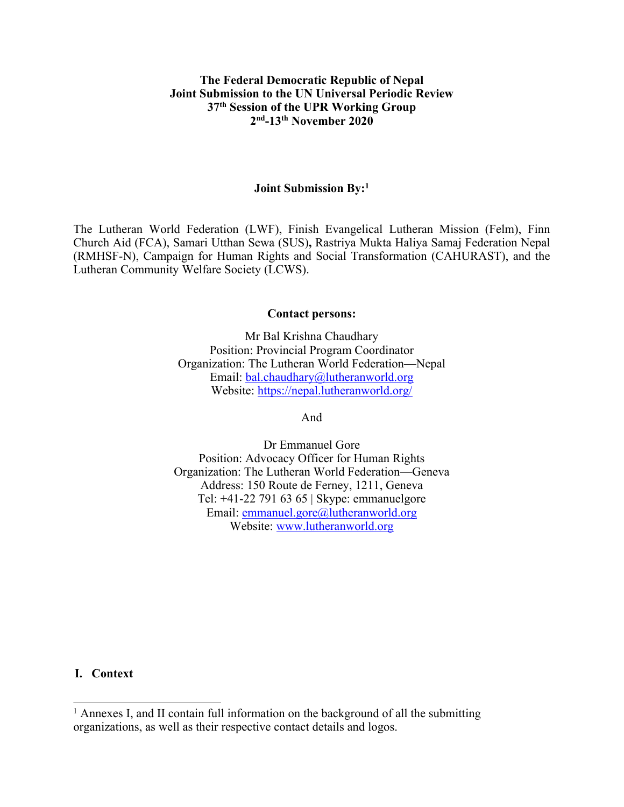#### **The Federal Democratic Republic of Nepal Joint Submission to the UN Universal Periodic Review 37th Session of the UPR Working Group 2nd -13th November 2020**

#### **Joint Submission By: 1**

The Lutheran World Federation (LWF), Finish Evangelical Lutheran Mission (Felm), Finn Church Aid (FCA), Samari Utthan Sewa (SUS)**,** Rastriya Mukta Haliya Samaj Federation Nepal (RMHSF-N), Campaign for Human Rights and Social Transformation (CAHURAST), and the Lutheran Community Welfare Society (LCWS).

#### **Contact persons:**

Mr Bal Krishna Chaudhary Position: Provincial Program Coordinator Organization: The Lutheran World Federation—Nepal Email: [bal.chaudhary@lutheranworld.org](mailto:bal.chaudhary@lutheranworld.org) Website: <https://nepal.lutheranworld.org/>

And

Dr Emmanuel Gore Position: Advocacy Officer for Human Rights Organization: The Lutheran World Federation—Geneva Address: 150 Route de Ferney, 1211, Geneva Tel: +41-22 791 63 65 | Skype: emmanuelgore Email: [emmanuel.gore@lutheranworld.org](mailto:emmanuel.gore@lutheranworld.org) Website: [www.lutheranworld.org](http://www.lutheranworld.org)

**I. Context**

<sup>&</sup>lt;sup>1</sup> Annexes I, and II contain full information on the background of all the submitting organizations, as well as their respective contact details and logos.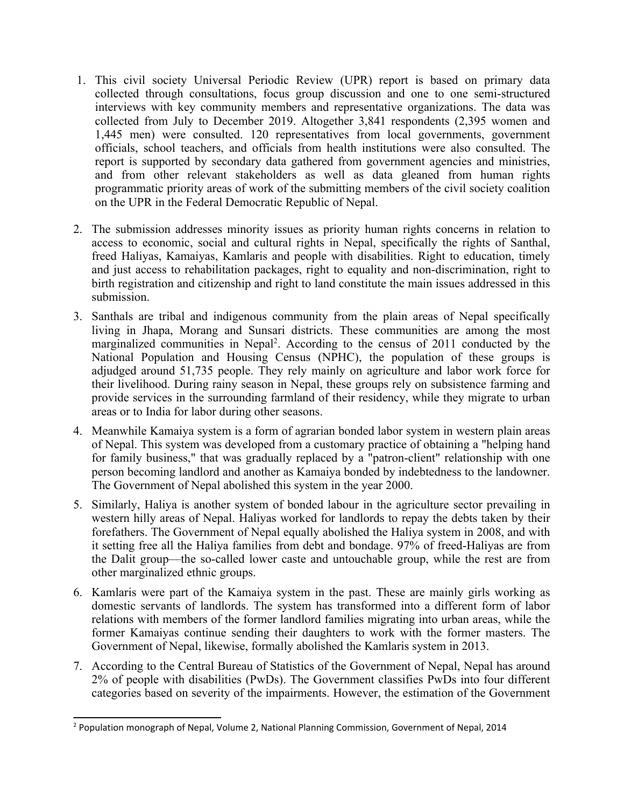- 1. This civil society Universal Periodic Review (UPR) repor<sup>t</sup> is based on primary data collected through consultations, focus group discussion and one to one semi-structured interviews with key community members and representative organizations. The data was collected from July to December 2019. Altogether 3,841 respondents (2,395 women and 1,445 men) were consulted. 120 representatives from local governments, governmen<sup>t</sup> officials, school teachers, and officials from health institutions were also consulted. The repor<sup>t</sup> is supported by secondary data gathered from governmen<sup>t</sup> agencies and ministries, and from other relevant stakeholders as well as data gleaned from human rights programmatic priority areas of work of the submitting members of the civil society coalition on the UPR in the Federal Democratic Republic of Nepal.
- 2. The submission addresses minority issues as priority human rights concerns in relation to access to economic, social and cultural rights in Nepal, specifically the rights of Santhal, freed Haliyas, Kamaiyas, Kamlaris and people with disabilities. Right to education, timely and just access to rehabilitation packages, right to equality and non-discrimination, right to birth registration and citizenship and right to land constitute the main issues addressed in this submission.
- 3. Santhals are tribal and indigenous community from the plain areas of Nepal specifically living in Jhapa, Morang and Sunsari districts. These communities are among the most marginalized communities in Nepal 2 . According to the census of 2011 conducted by the National Population and Housing Census (NPHC), the population of these groups is adjudged around 51,735 people. They rely mainly on agriculture and labor work force for their livelihood. During rainy season in Nepal, these groups rely on subsistence farming and provide services in the surrounding farmland of their residency, while they migrate to urban areas or to India for labor during other seasons.
- 4. Meanwhile Kamaiya system is <sup>a</sup> form of agrarian bonded labor system in western plain areas of Nepal. This system was developed from <sup>a</sup> customary practice of obtaining <sup>a</sup> "helping hand for family business," that was gradually replaced by <sup>a</sup> "patron-client" relationship with one person becoming landlord and another as Kamaiya bonded by indebtedness to the landowner. The Government of Nepal abolished this system in the year 2000.
- 5. Similarly, Haliya is another system of bonded labour in the agriculture sector prevailing in western hilly areas of Nepal. Haliyas worked for landlords to repay the debts taken by their forefathers. The Government of Nepal equally abolished the Haliya system in 2008, and with it setting free all the Haliya families from debt and bondage. 97% of freed-Haliyas are from the Dalit group—the so-called lower caste and untouchable group, while the rest are from other marginalized ethnic groups.
- 6. Kamlaris were par<sup>t</sup> of the Kamaiya system in the past. These are mainly girls working as domestic servants of landlords. The system has transformed into <sup>a</sup> different form of labor relations with members of the former landlord families migrating into urban areas, while the former Kamaiyas continue sending their daughters to work with the former masters. The Government of Nepal, likewise, formally abolished the Kamlaris system in 2013.
- 7. According to the Central Bureau of Statistics of the Government of Nepal, Nepal has around 2% of people with disabilities (PwDs). The Government classifies PwDs into four different categories based on severity of the impairments. However, the estimation of the Government

<sup>2</sup> Population monograph of Nepal, Volume 2, National Planning Commission, Government of Nepal, 2014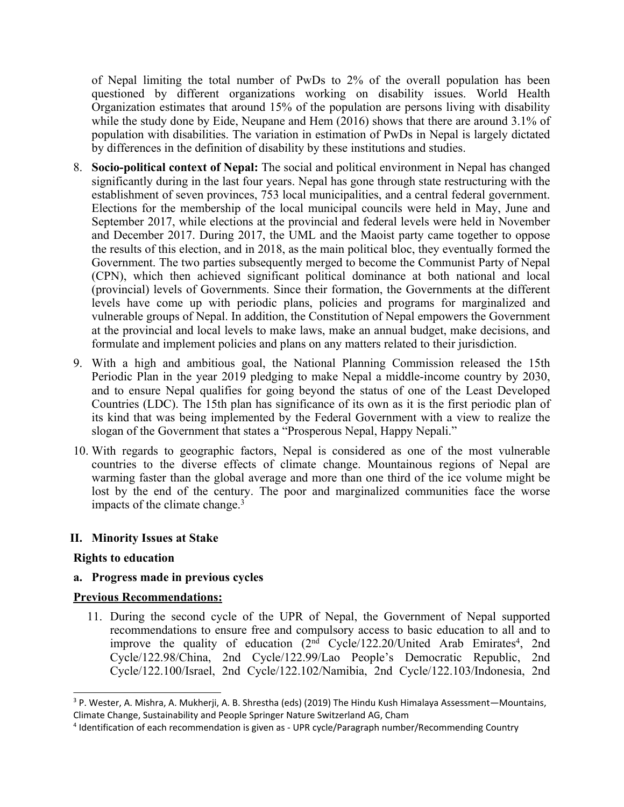of Nepal limiting the total number of PwDs to 2% of the overall population has been questioned by different organizations working on disability issues. World Health Organization estimates that around 15% of the population are persons living with disability while the study done by Eide, Neupane and Hem (2016) shows that there are around 3.1% of population with disabilities. The variation in estimation of PwDs in Nepal is largely dictated by differences in the definition of disability by these institutions and studies.

- 8. **Socio-political context of Nepal:** The social and political environment in Nepal has changed significantly during in the last four years. Nepal has gone through state restructuring with the establishment of seven provinces, 753 local municipalities, and <sup>a</sup> central federal government. Elections for the membership of the local municipal councils were held in May, June and September 2017, while elections at the provincial and federal levels were held in November and December 2017. During 2017, the UML and the Maoist party came together to oppose the results of this election, and in 2018, as the main political bloc, they eventually formed the Government. The two parties subsequently merged to become the Communist Party of Nepal (CPN), which then achieved significant political dominance at both national and local (provincial) levels of Governments. Since their formation, the Governments at the different levels have come up with periodic plans, policies and programs for marginalized and vulnerable groups of Nepal. In addition, the Constitution of Nepal empowers the Government at the provincial and local levels to make laws, make an annual budget, make decisions, and formulate and implement policies and plans on any matters related to their jurisdiction.
- 9. With <sup>a</sup> high and ambitious goal, the National Planning Commission released the 15th Periodic Plan in the year 2019 pledging to make Nepal <sup>a</sup> middle-income country by 2030, and to ensure Nepal qualifies for going beyond the status of one of the Least Developed Countries (LDC). The 15th plan has significance of its own as it is the first periodic plan of its kind that was being implemented by the Federal Government with <sup>a</sup> view to realize the slogan of the Government that states <sup>a</sup> "Prosperous Nepal, Happy Nepali."
- 10. With regards to geographic factors, Nepal is considered as one of the most vulnerable countries to the diverse effects of climate change. Mountainous regions of Nepal are warming faster than the global average and more than one third of the ice volume might be lost by the end of the century. The poor and marginalized communities face the worse impacts of the climate change. 3

### **II. Minority Issues at Stake**

### **Rights to education**

### **a. Progress made in previous cycles**

### **Previous Recommendations:**

11. During the second cycle of the UPR of Nepal, the Government of Nepal supported recommendations to ensure free and compulsory access to basic education to all and to improve the quality of education (2nd Cycle/122.20/United Arab Emirates 4 , 2nd Cycle/122.98/China, 2nd Cycle/122.99/Lao People'<sup>s</sup> Democratic Republic, 2nd Cycle/122.100/Israel, 2nd Cycle/122.102/Namibia, 2nd Cycle/122.103/Indonesia, 2nd

<sup>3</sup> P. Wester, A. Mishra, A. Mukherji, A. B. Shrestha (eds) (2019) The Hindu Kush Himalaya Assessment—Mountains, Climate Change, Sustainability and People Springer Nature Switzerland AG, Cham

<sup>4</sup> Identification of each recommendation is given as - UPR cycle/Paragraph number/Recommending Country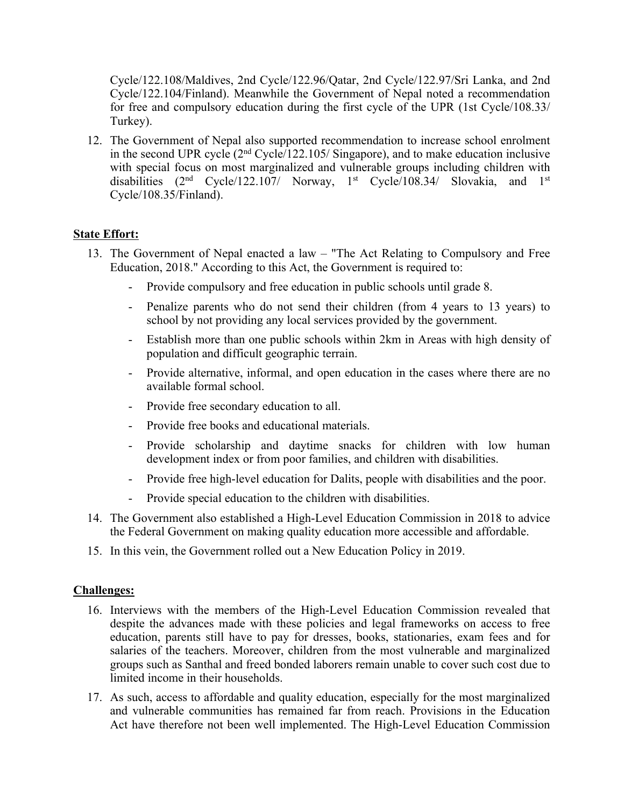Cycle/122.108/Maldives, 2nd Cycle/122.96/Qatar, 2nd Cycle/122.97/Sri Lanka, and 2nd Cycle/122.104/Finland). Meanwhile the Government of Nepal noted <sup>a</sup> recommendation for free and compulsory education during the first cycle of the UPR (1st Cycle/108.33/ Turkey).

12. The Government of Nepal also supported recommendation to increase school enrolment in the second UPR cycle (2nd Cycle/122.105/ Singapore), and to make education inclusive with special focus on most marginalized and vulnerable groups including children with disabilities  $(2<sup>nd</sup> Cycle/122.107/ Norway, 1<sup>st</sup> Cycle/108.34/ Slovakia, and 1<sup>st</sup>$ Cycle/108.35/Finland).

# **State Effort:**

- 13. The Government of Nepal enacted <sup>a</sup> law "The Act Relating to Compulsory and Free Education, 2018." According to this Act, the Government is required to:
	- -Provide compulsory and free education in public schools until grade 8.
	- Penalize parents who do not send their children (from 4 years to 13 years) to school by not providing any local services provided by the government.
	- - Establish more than one public schools within 2km in Areas with high density of population and difficult geographic terrain.
	- - Provide alternative, informal, and open education in the cases where there are no available formal school.
	- -Provide free secondary education to all.
	- -Provide free books and educational materials.
	- - Provide scholarship and daytime snacks for children with low human development index or from poor families, and children with disabilities.
	- -Provide free high-level education for Dalits, people with disabilities and the poor.
	- -Provide special education to the children with disabilities.
- 14. The Government also established <sup>a</sup> High-Level Education Commission in 2018 to advice the Federal Government on making quality education more accessible and affordable.
- 15. In this vein, the Government rolled out <sup>a</sup> New Education Policy in 2019.

### **Challenges:**

- 16. Interviews with the members of the High-Level Education Commission revealed that despite the advances made with these policies and legal frameworks on access to free education, parents still have to pay for dresses, books, stationaries, exam fees and for salaries of the teachers. Moreover, children from the most vulnerable and marginalized groups such as Santhal and freed bonded laborers remain unable to cover such cost due to limited income in their households.
- 17. As such, access to affordable and quality education, especially for the most marginalized and vulnerable communities has remained far from reach. Provisions in the Education Act have therefore not been well implemented. The High-Level Education Commission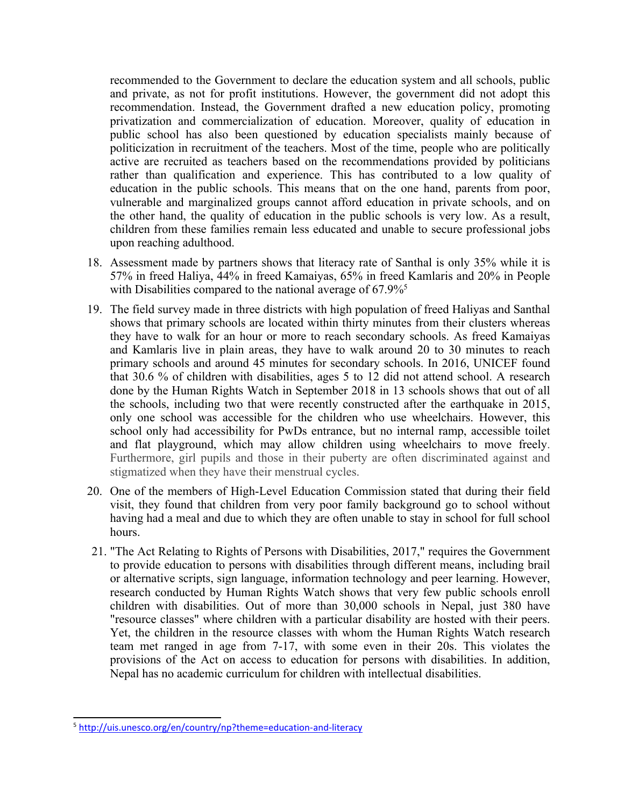recommended to the Government to declare the education system and all schools, public and private, as not for profit institutions. However, the governmen<sup>t</sup> did not adopt this recommendation. Instead, the Government drafted <sup>a</sup> new education policy, promoting privatization and commercialization of education. Moreover, quality of education in public school has also been questioned by education specialists mainly because of politicization in recruitment of the teachers. Most of the time, people who are politically active are recruited as teachers based on the recommendations provided by politicians rather than qualification and experience. This has contributed to <sup>a</sup> low quality of education in the public schools. This means that on the one hand, parents from poor, vulnerable and marginalized groups cannot afford education in private schools, and on the other hand, the quality of education in the public schools is very low. As <sup>a</sup> result, children from these families remain less educated and unable to secure professional jobs upon reaching adulthood.

- 18. Assessment made by partners shows that literacy rate of Santhal is only 35% while it is 57% in freed Haliya, 44% in freed Kamaiyas, 65% in freed Kamlaris and 20% in People with Disabilities compared to the national average of 67.9%<sup>5</sup>
- 19. The field survey made in three districts with high population of freed Haliyas and Santhal shows that primary schools are located within thirty minutes from their clusters whereas they have to walk for an hour or more to reach secondary schools. As freed Kamaiyas and Kamlaris live in plain areas, they have to walk around 20 to 30 minutes to reach primary schools and around 45 minutes for secondary schools. In 2016, UNICEF found that 30.6 % of children with disabilities, ages 5 to 12 did not attend school. A research done by the Human Rights Watch in September 2018 in 13 schools shows that out of all the schools, including two that were recently constructed after the earthquake in 2015, only one school was accessible for the children who use wheelchairs. However, this school only had accessibility for PwDs entrance, but no internal ramp, accessible toilet and flat playground, which may allow children using wheelchairs to move freely. Furthermore, girl pupils and those in their puberty are often discriminated against and stigmatized when they have their menstrual cycles.
- 20. One of the members of High-Level Education Commission stated that during their field visit, they found that children from very poor family background go to school without having had <sup>a</sup> meal and due to which they are often unable to stay in school for full school hours.
- 21. "The Act Relating to Rights of Persons with Disabilities, 2017," requires the Government to provide education to persons with disabilities through different means, including brail or alternative scripts, sign language, information technology and peer learning. However, research conducted by Human Rights Watch shows that very few public schools enroll children with disabilities. Out of more than 30,000 schools in Nepal, just 380 have "resource classes" where children with <sup>a</sup> particular disability are hosted with their peers. Yet, the children in the resource classes with whom the Human Rights Watch research team met ranged in age from 7-17, with some even in their 20s. This violates the provisions of the Act on access to education for persons with disabilities. In addition, Nepal has no academic curriculum for children with intellectual disabilities.

<sup>5</sup> <http://uis.unesco.org/en/country/np?theme=education-and-literacy>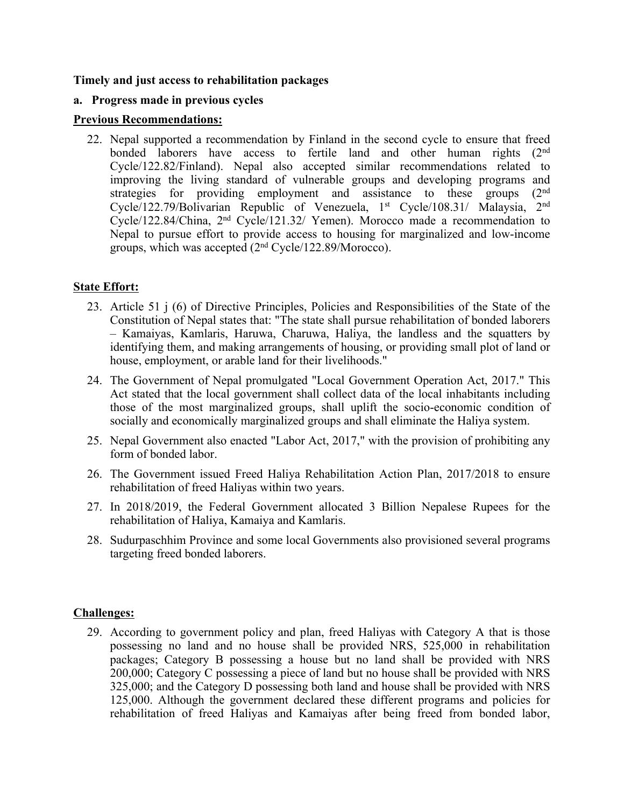### **Timely and just access to rehabilitation packages**

### **a. Progress made in previous cycles**

### **Previous Recommendations:**

22. Nepal supported <sup>a</sup> recommendation by Finland in the second cycle to ensure that freed bonded laborers have access to fertile land and other human rights (2<sup>nd</sup>) Cycle/122.82/Finland). Nepal also accepted similar recommendations related to improving the living standard of vulnerable groups and developing programs and strategies for providing employment and assistance to these groups (2<sup>nd</sup>) Cycle/122.79/Bolivarian Republic of Venezuela, 1st Cycle/108.31/ Malaysia, 2<sup>nd</sup> Cycle/122.84/China, <sup>2</sup>nd Cycle/121.32/ Yemen). Morocco made <sup>a</sup> recommendation to Nepal to pursue effort to provide access to housing for marginalized and low-income groups, which was accepted (2nd Cycle/122.89/Morocco).

# **State Effort:**

- 23. Article 51 j (6) of Directive Principles, Policies and Responsibilities of the State of the Constitution of Nepal states that: "The state shall pursue rehabilitation of bonded laborers – Kamaiyas, Kamlaris, Haruwa, Charuwa, Haliya, the landless and the squatters by identifying them, and making arrangements of housing, or providing small plot of land or house, employment, or arable land for their livelihoods."
- 24. The Government of Nepal promulgated "Local Government Operation Act, 2017." This Act stated that the local governmen<sup>t</sup> shall collect data of the local inhabitants including those of the most marginalized groups, shall uplift the socio-economic condition of socially and economically marginalized groups and shall eliminate the Haliya system.
- 25. Nepal Government also enacted "Labor Act, 2017," with the provision of prohibiting any form of bonded labor.
- 26. The Government issued Freed Haliya Rehabilitation Action Plan, 2017/2018 to ensure rehabilitation of freed Haliyas within two years.
- 27. In 2018/2019, the Federal Government allocated 3 Billion Nepalese Rupees for the rehabilitation of Haliya, Kamaiya and Kamlaris.
- 28. Sudurpaschhim Province and some local Governments also provisioned several programs targeting freed bonded laborers.

# **Challenges:**

29. According to governmen<sup>t</sup> policy and plan, freed Haliyas with Category A that is those possessing no land and no house shall be provided NRS, 525,000 in rehabilitation packages; Category B possessing <sup>a</sup> house but no land shall be provided with NRS 200,000; Category C possessing <sup>a</sup> piece of land but no house shall be provided with NRS 325,000; and the Category D possessing both land and house shall be provided with NRS 125,000. Although the governmen<sup>t</sup> declared these different programs and policies for rehabilitation of freed Haliyas and Kamaiyas after being freed from bonded labor,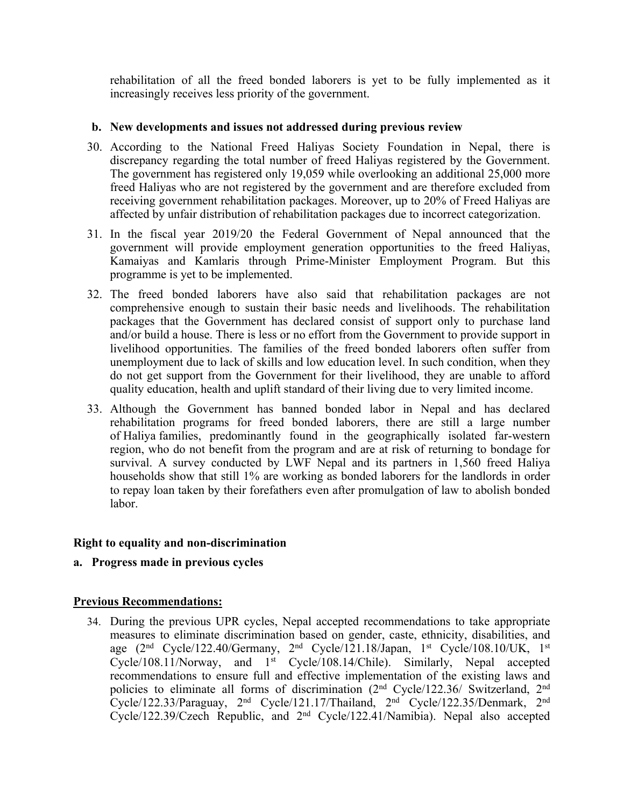rehabilitation of all the freed bonded laborers is ye<sup>t</sup> to be fully implemented as it increasingly receives less priority of the government.

### **b. New developments and issues not addressed during previous review**

- 30. According to the National Freed Haliyas Society Foundation in Nepal, there is discrepancy regarding the total number of freed Haliyas registered by the Government. The governmen<sup>t</sup> has registered only 19,059 while overlooking an additional 25,000 more freed Haliyas who are not registered by the governmen<sup>t</sup> and are therefore excluded from receiving governmen<sup>t</sup> rehabilitation packages. Moreover, up to 20% of Freed Haliyas are affected by unfair distribution of rehabilitation packages due to incorrect categorization.
- 31. In the fiscal year 2019/20 the Federal Government of Nepal announced that the governmen<sup>t</sup> will provide employment generation opportunities to the freed Haliyas, Kamaiyas and Kamlaris through Prime-Minister Employment Program. But this programme is ye<sup>t</sup> to be implemented.
- 32. The freed bonded laborers have also said that rehabilitation packages are not comprehensive enough to sustain their basic needs and livelihoods. The rehabilitation packages that the Government has declared consist of suppor<sup>t</sup> only to purchase land and/or build <sup>a</sup> house. There is less or no effort from the Government to provide suppor<sup>t</sup> in livelihood opportunities. The families of the freed bonded laborers often suffer from unemployment due to lack of skills and low education level. In such condition, when they do not ge<sup>t</sup> suppor<sup>t</sup> from the Government for their livelihood, they are unable to afford quality education, health and uplift standard of their living due to very limited income.
- 33. Although the Government has banned bonded labor in Nepal and has declared rehabilitation programs for freed bonded laborers, there are still <sup>a</sup> large number of Haliya families, predominantly found in the geographically isolated far-western region, who do not benefit from the program and are at risk of returning to bondage for survival. A survey conducted by LWF Nepal and its partners in 1,560 freed Haliya households show that still 1% are working as bonded laborers for the landlords in order to repay loan taken by their forefathers even after promulgation of law to abolish bonded labor.

# **Right to equality and non-discrimination**

### **a. Progress made in previous cycles**

### **Previous Recommendations:**

34. During the previous UPR cycles, Nepal accepted recommendations to take appropriate measures to eliminate discrimination based on gender, caste, ethnicity, disabilities, and age (2nd Cycle/122.40/Germany, <sup>2</sup>nd Cycle/121.18/Japan, <sup>1</sup>st Cycle/108.10/UK, <sup>1</sup>st Cycle/108.11/Norway, and 1<sup>st</sup> Cycle/108.14/Chile). Similarly, Nepal accepted recommendations to ensure full and effective implementation of the existing laws and policies to eliminate all forms of discrimination (2<sup>nd</sup> Cycle/122.36/ Switzerland, 2<sup>nd</sup> Cycle/122.33/Paraguay, <sup>2</sup>nd Cycle/121.17/Thailand, <sup>2</sup>nd Cycle/122.35/Denmark, <sup>2</sup>nd Cycle/122.39/Czech Republic, and <sup>2</sup>nd Cycle/122.41/Namibia). Nepal also accepted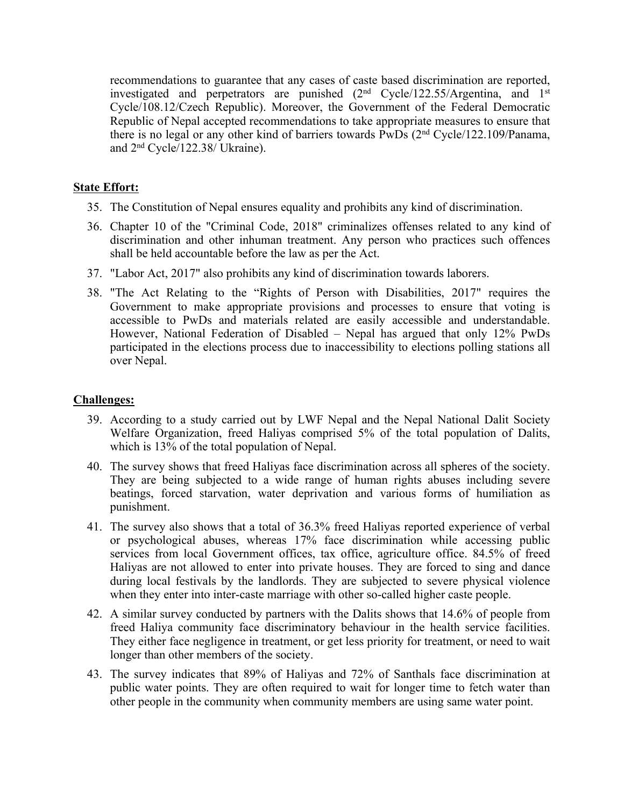recommendations to guarantee that any cases of caste based discrimination are reported, investigated and perpetrators are punished (2nd Cycle/122.55/Argentina, and <sup>1</sup>st Cycle/108.12/Czech Republic). Moreover, the Government of the Federal Democratic Republic of Nepal accepted recommendations to take appropriate measures to ensure that there is no legal or any other kind of barriers towards PwDs (2nd Cycle/122.109/Panama, and <sup>2</sup>nd Cycle/122.38/ Ukraine).

### **State Effort:**

- 35. The Constitution of Nepal ensures equality and prohibits any kind of discrimination.
- 36. Chapter 10 of the "Criminal Code, 2018" criminalizes offenses related to any kind of discrimination and other inhuman treatment. Any person who practices such offences shall be held accountable before the law as per the Act.
- 37. "Labor Act, 2017" also prohibits any kind of discrimination towards laborers.
- 38. "The Act Relating to the "Rights of Person with Disabilities, 2017" requires the Government to make appropriate provisions and processes to ensure that voting is accessible to PwDs and materials related are easily accessible and understandable. However, National Federation of Disabled – Nepal has argued that only 12% PwDs participated in the elections process due to inaccessibility to elections polling stations all over Nepal.

### **Challenges:**

- 39. According to <sup>a</sup> study carried out by LWF Nepal and the Nepal National Dalit Society Welfare Organization, freed Haliyas comprised 5% of the total population of Dalits, which is 13% of the total population of Nepal.
- 40. The survey shows that freed Haliyas face discrimination across all spheres of the society. They are being subjected to <sup>a</sup> wide range of human rights abuses including severe beatings, forced starvation, water deprivation and various forms of humiliation as punishment.
- 41. The survey also shows that <sup>a</sup> total of 36.3% freed Haliyas reported experience of verbal or psychological abuses, whereas 17% face discrimination while accessing public services from local Government offices, tax office, agriculture office. 84.5% of freed Haliyas are not allowed to enter into private houses. They are forced to sing and dance during local festivals by the landlords. They are subjected to severe physical violence when they enter into inter-caste marriage with other so-called higher caste people.
- 42. A similar survey conducted by partners with the Dalits shows that 14.6% of people from freed Haliya community face discriminatory behaviour in the health service facilities. They either face negligence in treatment, or ge<sup>t</sup> less priority for treatment, or need to wait longer than other members of the society.
- 43. The survey indicates that 89% of Haliyas and 72% of Santhals face discrimination at public water points. They are often required to wait for longer time to fetch water than other people in the community when community members are using same water point.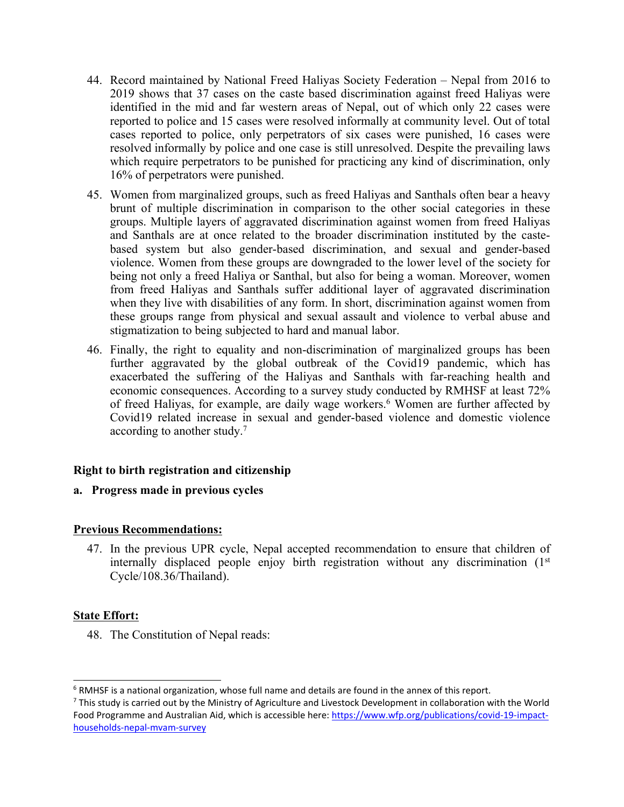- 44. Record maintained by National Freed Haliyas Society Federation Nepal from 2016 to 2019 shows that 37 cases on the caste based discrimination against freed Haliyas were identified in the mid and far western areas of Nepal, out of which only 22 cases were reported to police and 15 cases were resolved informally at community level. Out of total cases reported to police, only perpetrators of six cases were punished, 16 cases were resolved informally by police and one case is still unresolved. Despite the prevailing laws which require perpetrators to be punished for practicing any kind of discrimination, only 16% of perpetrators were punished.
- 45. Women from marginalized groups, such as freed Haliyas and Santhals often bear <sup>a</sup> heavy brunt of multiple discrimination in comparison to the other social categories in these groups. Multiple layers of aggravated discrimination against women from freed Haliyas and Santhals are at once related to the broader discrimination instituted by the castebased system but also gender-based discrimination, and sexual and gender-based violence. Women from these groups are downgraded to the lower level of the society for being not only <sup>a</sup> freed Haliya or Santhal, but also for being <sup>a</sup> woman. Moreover, women from freed Haliyas and Santhals suffer additional layer of aggravated discrimination when they live with disabilities of any form. In short, discrimination against women from these groups range from physical and sexual assault and violence to verbal abuse and stigmatization to being subjected to hard and manual labor.
- 46. Finally, the right to equality and non-discrimination of marginalized groups has been further aggravated by the global outbreak of the Covid19 pandemic, which has exacerbated the suffering of the Haliyas and Santhals with far-reaching health and economic consequences. According to <sup>a</sup> survey study conducted by RMHSF at least 72% of freed Haliyas, for example, are daily wage workers. <sup>6</sup> Women are further affected by Covid19 related increase in sexual and gender-based violence and domestic violence according to another study. 7

# **Right to birth registration and citizenship**

### **a. Progress made in previous cycles**

# **Previous Recommendations:**

47. In the previous UPR cycle, Nepal accepted recommendation to ensure that children of internally displaced people enjoy birth registration without any discrimination  $(1<sup>st</sup>)$ Cycle/108.36/Thailand).

# **State Effort:**

48. The Constitution of Nepal reads:

<sup>6</sup> RMHSF is <sup>a</sup> national organization, whose full name and details are found in the annex of this report.

<sup>&</sup>lt;sup>7</sup> This study is carried out by the Ministry of Agriculture and Livestock Development in collaboration with the World Food Programme and Australian Aid, which is accessible here: [https://www.wfp.org/publications/covid-19-impact](https://www.wfp.org/publications/covid-19-impact-households-nepal-mvam-survey)[households-nepal-mvam-survey](https://www.wfp.org/publications/covid-19-impact-households-nepal-mvam-survey)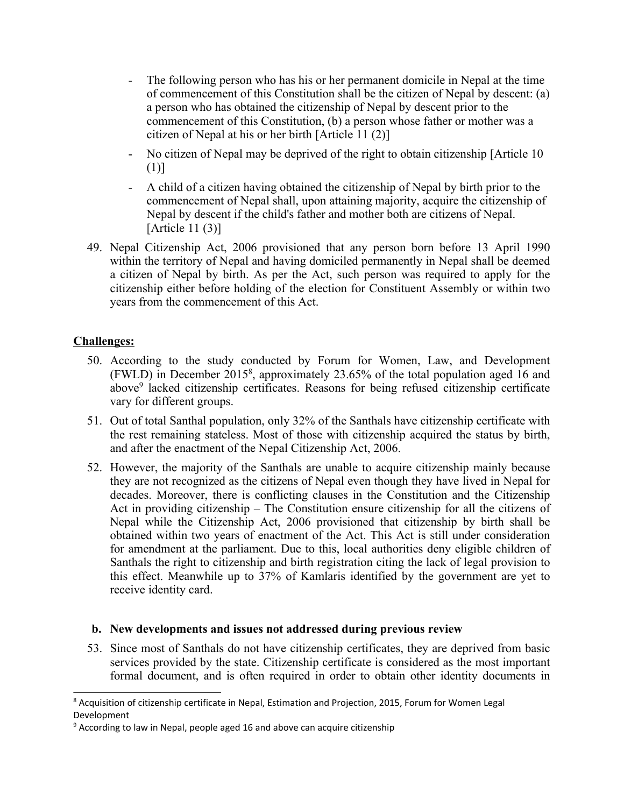- - The following person who has his or her permanen<sup>t</sup> domicile in Nepal at the time of commencement of this Constitution shall be the citizen of Nepal by descent: (a) <sup>a</sup> person who has obtained the citizenship of Nepal by descent prior to the commencement of this Constitution, (b) <sup>a</sup> person whose father or mother was <sup>a</sup> citizen of Nepal at his or her birth [Article 11 (2)]
- - No citizen of Nepal may be deprived of the right to obtain citizenship [Article 10 (1)]
- A child of <sup>a</sup> citizen having obtained the citizenship of Nepal by birth prior to the commencement of Nepal shall, upon attaining majority, acquire the citizenship of Nepal by descent if the child's father and mother both are citizens of Nepal. [Article 11 (3)]
- 49. Nepal Citizenship Act, 2006 provisioned that any person born before 13 April 1990 within the territory of Nepal and having domiciled permanently in Nepal shall be deemed <sup>a</sup> citizen of Nepal by birth. As per the Act, such person was required to apply for the citizenship either before holding of the election for Constituent Assembly or within two years from the commencement of this Act.

# **Challenges:**

- 50. According to the study conducted by Forum for Women, Law, and Development (FWLD) in December 2015<sup>8</sup> , approximately 23.65% of the total population aged 16 and above<sup>9</sup> lacked citizenship certificates. Reasons for being refused citizenship certificate vary for different groups.
- 51. Out of total Santhal population, only 32% of the Santhals have citizenship certificate with the rest remaining stateless. Most of those with citizenship acquired the status by birth, and after the enactment of the Nepal Citizenship Act, 2006.
- 52. However, the majority of the Santhals are unable to acquire citizenship mainly because they are not recognized as the citizens of Nepal even though they have lived in Nepal for decades. Moreover, there is conflicting clauses in the Constitution and the Citizenship Act in providing citizenship – The Constitution ensure citizenship for all the citizens of Nepal while the Citizenship Act, 2006 provisioned that citizenship by birth shall be obtained within two years of enactment of the Act. This Act is still under consideration for amendment at the parliament. Due to this, local authorities deny eligible children of Santhals the right to citizenship and birth registration citing the lack of legal provision to this effect. Meanwhile up to 37% of Kamlaris identified by the governmen<sup>t</sup> are ye<sup>t</sup> to receive identity card.

### **b. New developments and issues not addressed during previous review**

53. Since most of Santhals do not have citizenship certificates, they are deprived from basic services provided by the state. Citizenship certificate is considered as the most important formal document, and is often required in order to obtain other identity documents in

<sup>8</sup> Acquisition of citizenship certificate in Nepal, Estimation and Projection, 2015, Forum for Women Legal Development

<sup>&</sup>lt;sup>9</sup> According to law in Nepal, people aged 16 and above can acquire citizenship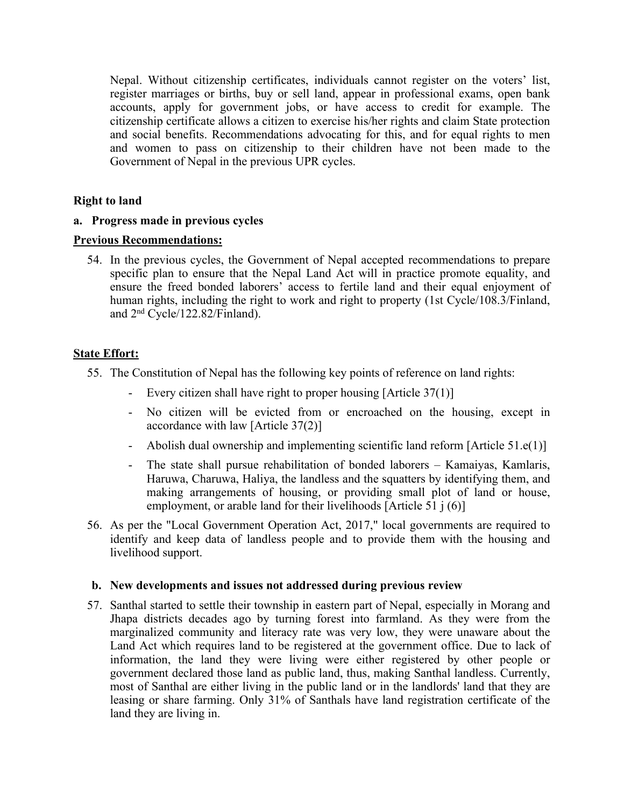Nepal. Without citizenship certificates, individuals cannot register on the voters' list, register marriages or births, buy or sell land, appear in professional exams, open bank accounts, apply for governmen<sup>t</sup> jobs, or have access to credit for example. The citizenship certificate allows <sup>a</sup> citizen to exercise his/her rights and claim State protection and social benefits. Recommendations advocating for this, and for equal rights to men and women to pass on citizenship to their children have not been made to the Government of Nepal in the previous UPR cycles.

### **Right to land**

### **a. Progress made in previous cycles**

### **Previous Recommendations:**

54. In the previous cycles, the Government of Nepal accepted recommendations to prepare specific plan to ensure that the Nepal Land Act will in practice promote equality, and ensure the freed bonded laborers' access to fertile land and their equal enjoyment of human rights, including the right to work and right to property (1st Cycle/108.3/Finland, and <sup>2</sup>nd Cycle/122.82/Finland).

# **State Effort:**

55. The Constitution of Nepal has the following key points of reference on land rights:

- -Every citizen shall have right to proper housing [Article 37(1)]
- No citizen will be evicted from or encroached on the housing, excep<sup>t</sup> in accordance with law [Article 37(2)]
- Abolish dual ownership and implementing scientific land reform [Article 51.e(1)]
- The state shall pursue rehabilitation of bonded laborers Kamaiyas, Kamlaris, Haruwa, Charuwa, Haliya, the landless and the squatters by identifying them, and making arrangements of housing, or providing small plot of land or house, employment, or arable land for their livelihoods [Article 51 j (6)]
- 56. As per the "Local Government Operation Act, 2017," local governments are required to identify and keep data of landless people and to provide them with the housing and livelihood support.

### **b. New developments and issues not addressed during previous review**

57. Santhal started to settle their township in eastern par<sup>t</sup> of Nepal, especially in Morang and Jhapa districts decades ago by turning forest into farmland. As they were from the marginalized community and literacy rate was very low, they were unaware about the Land Act which requires land to be registered at the governmen<sup>t</sup> office. Due to lack of information, the land they were living were either registered by other people or governmen<sup>t</sup> declared those land as public land, thus, making Santhal landless. Currently, most of Santhal are either living in the public land or in the landlords' land that they are leasing or share farming. Only 31% of Santhals have land registration certificate of the land they are living in.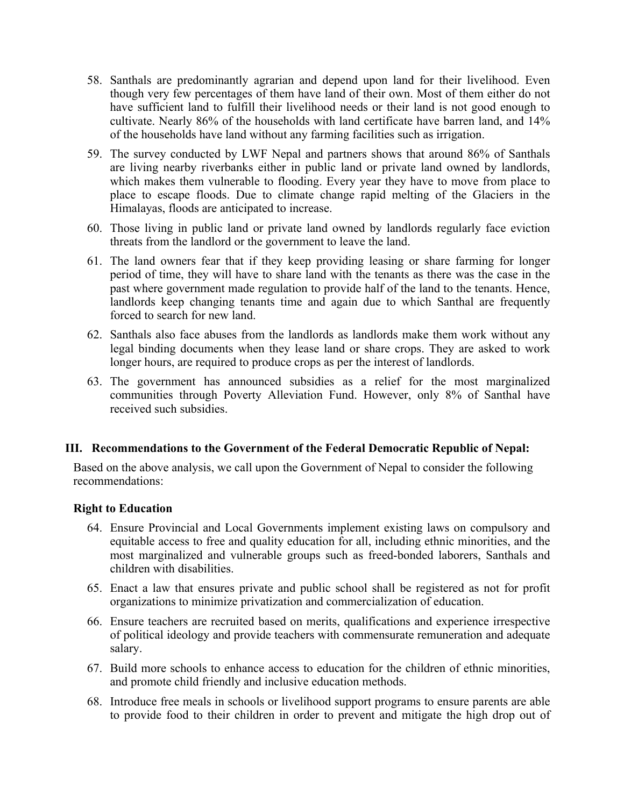- 58. Santhals are predominantly agrarian and depend upon land for their livelihood. Even though very few percentages of them have land of their own. Most of them either do not have sufficient land to fulfill their livelihood needs or their land is not good enough to cultivate. Nearly 86% of the households with land certificate have barren land, and 14% of the households have land without any farming facilities such as irrigation.
- 59. The survey conducted by LWF Nepal and partners shows that around 86% of Santhals are living nearby riverbanks either in public land or private land owned by landlords, which makes them vulnerable to flooding. Every year they have to move from place to place to escape floods. Due to climate change rapid melting of the Glaciers in the Himalayas, floods are anticipated to increase.
- 60. Those living in public land or private land owned by landlords regularly face eviction threats from the landlord or the governmen<sup>t</sup> to leave the land.
- 61. The land owners fear that if they keep providing leasing or share farming for longer period of time, they will have to share land with the tenants as there was the case in the pas<sup>t</sup> where governmen<sup>t</sup> made regulation to provide half of the land to the tenants. Hence, landlords keep changing tenants time and again due to which Santhal are frequently forced to search for new land.
- 62. Santhals also face abuses from the landlords as landlords make them work without any legal binding documents when they lease land or share crops. They are asked to work longer hours, are required to produce crops as per the interest of landlords.
- 63. The governmen<sup>t</sup> has announced subsidies as <sup>a</sup> relief for the most marginalized communities through Poverty Alleviation Fund. However, only 8% of Santhal have received such subsidies.

### **III. Recommendations to the Government of the Federal Democratic Republic of Nepal:**

Based on the above analysis, we call upon the Government of Nepal to consider the following recommendations:

#### **Right to Education**

- 64. Ensure Provincial and Local Governments implement existing laws on compulsory and equitable access to free and quality education for all, including ethnic minorities, and the most marginalized and vulnerable groups such as freed-bonded laborers, Santhals and children with disabilities.
- 65. Enact <sup>a</sup> law that ensures private and public school shall be registered as not for profit organizations to minimize privatization and commercialization of education.
- 66. Ensure teachers are recruited based on merits, qualifications and experience irrespective of political ideology and provide teachers with commensurate remuneration and adequate salary.
- 67. Build more schools to enhance access to education for the children of ethnic minorities, and promote child friendly and inclusive education methods.
- 68. Introduce free meals in schools or livelihood suppor<sup>t</sup> programs to ensure parents are able to provide food to their children in order to preven<sup>t</sup> and mitigate the high drop out of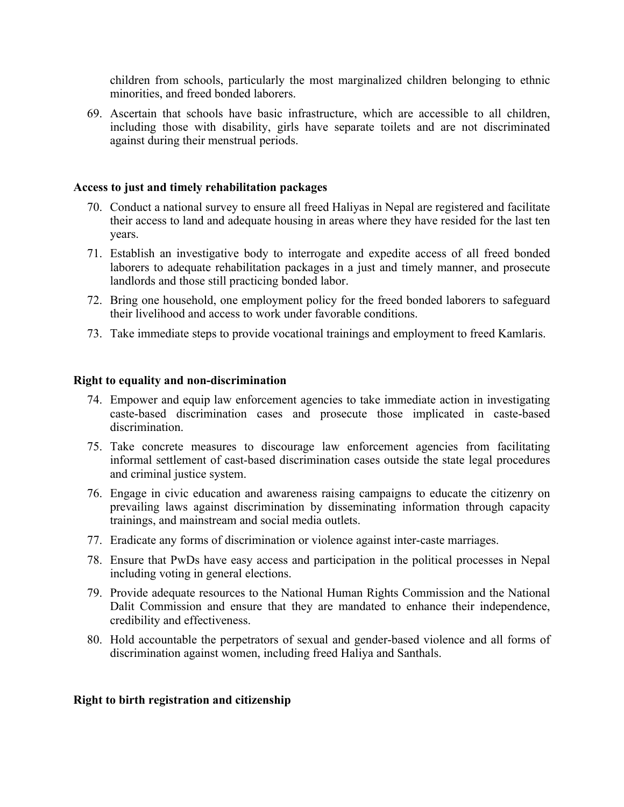children from schools, particularly the most marginalized children belonging to ethnic minorities, and freed bonded laborers.

69. Ascertain that schools have basic infrastructure, which are accessible to all children, including those with disability, girls have separate toilets and are not discriminated against during their menstrual periods.

### **Access to just and timely rehabilitation packages**

- 70. Conduct <sup>a</sup> national survey to ensure all freed Haliyas in Nepal are registered and facilitate their access to land and adequate housing in areas where they have resided for the last ten years.
- 71. Establish an investigative body to interrogate and expedite access of all freed bonded laborers to adequate rehabilitation packages in <sup>a</sup> just and timely manner, and prosecute landlords and those still practicing bonded labor.
- 72. Bring one household, one employment policy for the freed bonded laborers to safeguard their livelihood and access to work under favorable conditions.
- 73. Take immediate steps to provide vocational trainings and employment to freed Kamlaris.

### **Right to equality and non-discrimination**

- 74. Empower and equip law enforcement agencies to take immediate action in investigating caste-based discrimination cases and prosecute those implicated in caste-based discrimination.
- 75. Take concrete measures to discourage law enforcement agencies from facilitating informal settlement of cast-based discrimination cases outside the state legal procedures and criminal justice system.
- 76. Engage in civic education and awareness raising campaigns to educate the citizenry on prevailing laws against discrimination by disseminating information through capacity trainings, and mainstream and social media outlets.
- 77. Eradicate any forms of discrimination or violence against inter-caste marriages.
- 78. Ensure that PwDs have easy access and participation in the political processes in Nepal including voting in general elections.
- 79. Provide adequate resources to the National Human Rights Commission and the National Dalit Commission and ensure that they are mandated to enhance their independence, credibility and effectiveness.
- 80. Hold accountable the perpetrators of sexual and gender-based violence and all forms of discrimination against women, including freed Haliya and Santhals.

### **Right to birth registration and citizenship**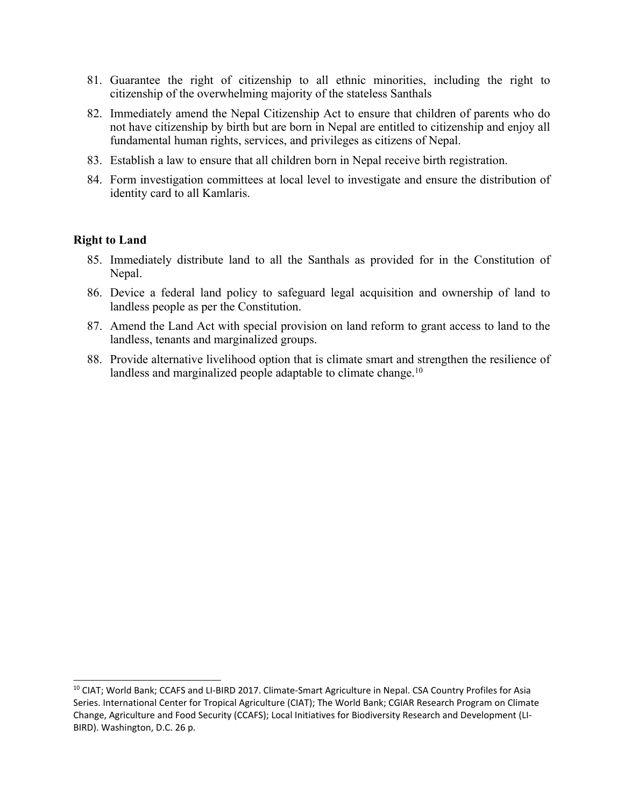- 81. Guarantee the right of citizenship to all ethnic minorities, including the right to citizenship of the overwhelming majority of the stateless Santhals
- 82. Immediately amend the Nepal Citizenship Act to ensure that children of parents who do not have citizenship by birth but are born in Nepal are entitled to citizenship and enjoy all fundamental human rights, services, and privileges as citizens of Nepal.
- 83. Establish <sup>a</sup> law to ensure that all children born in Nepal receive birth registration.
- 84. Form investigation committees at local level to investigate and ensure the distribution of identity card to all Kamlaris.

### **Right to Land**

- 85. Immediately distribute land to all the Santhals as provided for in the Constitution of Nepal.
- 86. Device <sup>a</sup> federal land policy to safeguard legal acquisition and ownership of land to landless people as per the Constitution.
- 87. Amend the Land Act with special provision on land reform to gran<sup>t</sup> access to land to the landless, tenants and marginalized groups.
- 88. Provide alternative livelihood option that is climate smart and strengthen the resilience of landless and marginalized people adaptable to climate change.<sup>10</sup>

<sup>&</sup>lt;sup>10</sup> CIAT; World Bank; CCAFS and LI-BIRD 2017. Climate-Smart Agriculture in Nepal. CSA Country Profiles for Asia Series. International Center for Tropical Agriculture (CIAT); The World Bank; CGIAR Research Program on Climate Change, Agriculture and Food Security (CCAFS); Local Initiatives for Biodiversity Research and Development (LI-BIRD). Washington, D.C. 26 p.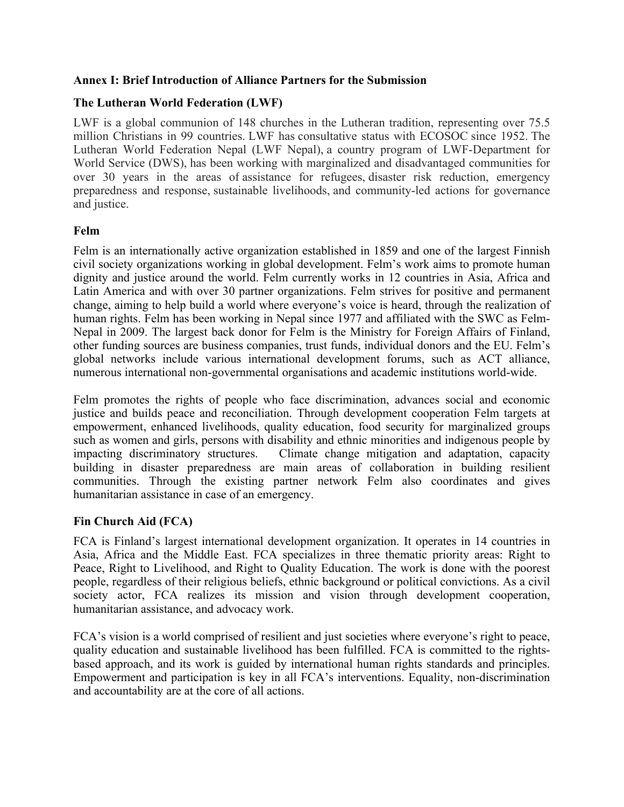### **Annex I: Brief Introduction of Alliance Partners for the Submission**

### **The Lutheran World Federation (LWF)**

LWF is <sup>a</sup> global communion of 148 churches in the Lutheran tradition, representing over 75.5 million Christians in 99 countries. LWF has consultative status with ECOSOC since 1952. The Lutheran World Federation Nepal (LWF Nepal), <sup>a</sup> country program of LWF-Department for World Service (DWS), has been working with marginalized and disadvantaged communities for over 30 years in the areas of assistance for refugees, disaster risk reduction, emergency preparedness and response, sustainable livelihoods, and community-led actions for governance and justice.

### **Felm**

Felm is an internationally active organization established in 1859 and one of the largest Finnish civil society organizations working in global development. Felm'<sup>s</sup> work aims to promote human dignity and justice around the world. Felm currently works in 12 countries in Asia, Africa and Latin America and with over 30 partner organizations. Felm strives for positive and permanen<sup>t</sup> change, aiming to help build <sup>a</sup> world where everyone'<sup>s</sup> voice is heard, through the realization of human rights. Felm has been working in Nepal since 1977 and affiliated with the SWC as Felm-Nepal in 2009. The largest back donor for Felm is the Ministry for Foreign Affairs of Finland, other funding sources are business companies, trust funds, individual donors and the EU. Felm'<sup>s</sup> global networks include various international development forums, such as ACT alliance, numerous international non-governmental organisations and academic institutions world-wide.

Felm promotes the rights of people who face discrimination, advances social and economic justice and builds peace and reconciliation. Through development cooperation Felm targets at empowerment, enhanced livelihoods, quality education, food security for marginalized groups such as women and girls, persons with disability and ethnic minorities and indigenous people by impacting discriminatory structures. Climate change mitigation and adaptation, capacity building in disaster preparedness are main areas of collaboration in building resilient communities. Through the existing partner network Felm also coordinates and gives humanitarian assistance in case of an emergency.

# **Fin Church Aid (FCA)**

FCA is Finland'<sup>s</sup> largest international development organization. It operates in 14 countries in Asia, Africa and the Middle East. FCA specializes in three thematic priority areas: Right to Peace, Right to Livelihood, and Right to Quality Education. The work is done with the poores<sup>t</sup> people, regardless of their religious beliefs, ethnic background or political convictions. As <sup>a</sup> civil society actor, FCA realizes its mission and vision through development cooperation, humanitarian assistance, and advocacy work.

FCA'<sup>s</sup> vision is <sup>a</sup> world comprised of resilient and just societies where everyone'<sup>s</sup> right to peace, quality education and sustainable livelihood has been fulfilled. FCA is committed to the rightsbased approach, and its work is guided by international human rights standards and principles. Empowerment and participation is key in all FCA'<sup>s</sup> interventions. Equality, non-discrimination and accountability are at the core of all actions.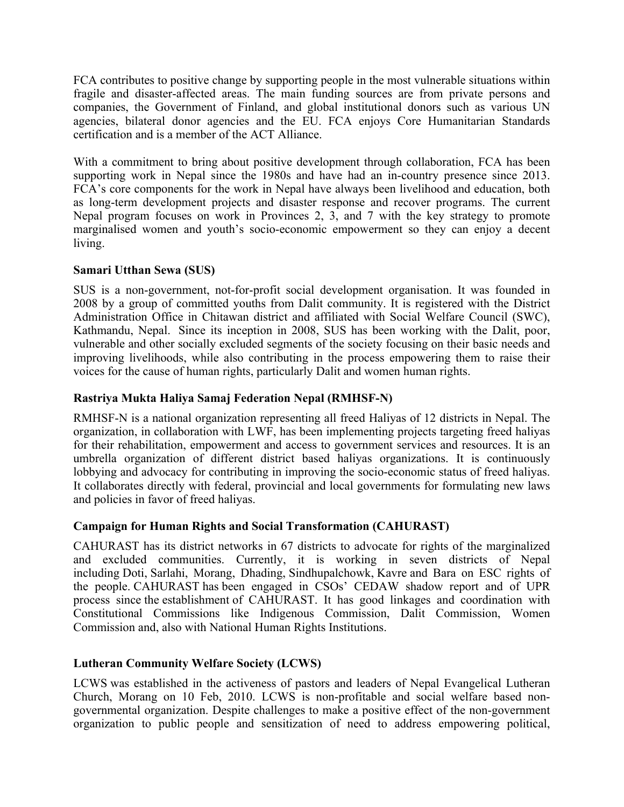FCA contributes to positive change by supporting people in the most vulnerable situations within fragile and disaster-affected areas. The main funding sources are from private persons and companies, the Government of Finland, and global institutional donors such as various UN agencies, bilateral donor agencies and the EU. FCA enjoys Core Humanitarian Standards certification and is <sup>a</sup> member of the ACT Alliance.

With <sup>a</sup> commitment to bring about positive development through collaboration, FCA has been supporting work in Nepal since the 1980s and have had an in-country presence since 2013. FCA'<sup>s</sup> core components for the work in Nepal have always been livelihood and education, both as long-term development projects and disaster response and recover programs. The current Nepal program focuses on work in Provinces 2, 3, and 7 with the key strategy to promote marginalised women and youth'<sup>s</sup> socio-economic empowermen<sup>t</sup> so they can enjoy <sup>a</sup> decent living.

### **Samari Utthan Sewa (SUS)**

SUS is <sup>a</sup> non-government, not-for-profit social development organisation. It was founded in 2008 by <sup>a</sup> group of committed youths from Dalit community. It is registered with the District Administration Office in Chitawan district and affiliated with Social Welfare Council (SWC), Kathmandu, Nepal. Since its inception in 2008, SUS has been working with the Dalit, poor, vulnerable and other socially excluded segments of the society focusing on their basic needs and improving livelihoods, while also contributing in the process empowering them to raise their voices for the cause of human rights, particularly Dalit and women human rights.

# **Rastriya Mukta Haliya Samaj Federation Nepal (RMHSF-N)**

RMHSF-N is <sup>a</sup> national organization representing all freed Haliyas of 12 districts in Nepal. The organization, in collaboration with LWF, has been implementing projects targeting freed haliyas for their rehabilitation, empowermen<sup>t</sup> and access to governmen<sup>t</sup> services and resources. It is an umbrella organization of different district based haliyas organizations. It is continuously lobbying and advocacy for contributing in improving the socio-economic status of freed haliyas. It collaborates directly with federal, provincial and local governments for formulating new laws and policies in favor of freed haliyas.

# **Campaign for Human Rights and Social Transformation (CAHURAST)**

CAHURAST has its district networks in 67 districts to advocate for rights of the marginalized and excluded communities. Currently, it is working in seven districts of Nepal including Doti, Sarlahi, Morang, Dhading, Sindhupalchowk, Kavre and Bara on ESC rights of the people. CAHURAST has been engaged in CSOs' CEDAW shadow repor<sup>t</sup> and of UPR process since the establishment of CAHURAST. It has good linkages and coordination with Constitutional Commissions like Indigenous Commission, Dalit Commission, Women Commission and, also with National Human Rights Institutions.

### **Lutheran Community Welfare Society (LCWS)**

LCWS was established in the activeness of pastors and leaders of Nepal Evangelical Lutheran Church, Morang on 10 Feb, 2010. LCWS is non-profitable and social welfare based nongovernmental organization. Despite challenges to make <sup>a</sup> positive effect of the non-governmen<sup>t</sup> organization to public people and sensitization of need to address empowering political,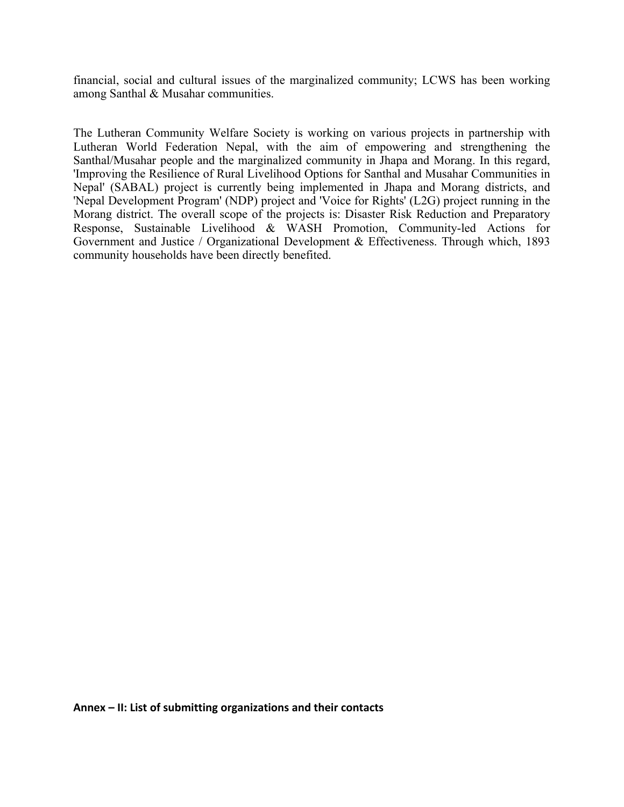financial, social and cultural issues of the marginalized community; LCWS has been working among Santhal & Musahar communities.

The Lutheran Community Welfare Society is working on various projects in partnership with Lutheran World Federation Nepal, with the aim of empowering and strengthening the Santhal/Musahar people and the marginalized community in Jhapa and Morang. In this regard, 'Improving the Resilience of Rural Livelihood Options for Santhal and Musahar Communities in Nepal' (SABAL) project is currently being implemented in Jhapa and Morang districts, and 'Nepal Development Program' (NDP) project and 'Voice for Rights' (L2G) project running in the Morang district. The overall scope of the projects is: Disaster Risk Reduction and Preparatory Response, Sustainable Livelihood & WASH Promotion, Community-led Actions for Government and Justice / Organizational Development & Effectiveness. Through which, 1893 community households have been directly benefited.